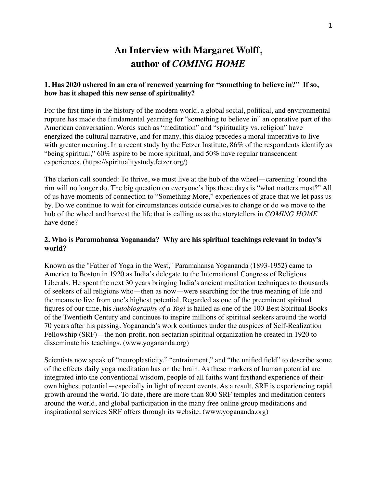# **An Interview with Margaret Wolff, author of** *COMING HOME*

# **1. Has 2020 ushered in an era of renewed yearning for "something to believe in?" If so, how has it shaped this new sense of spirituality?**

For the first time in the history of the modern world, a global social, political, and environmental rupture has made the fundamental yearning for "something to believe in" an operative part of the American conversation. Words such as "meditation" and "spirituality vs. religion" have energized the cultural narrative, and for many, this dialog precedes a moral imperative to live with greater meaning. In a recent study by the Fetzer Institute, 86% of the respondents identify as "being spiritual," 60% aspire to be more spiritual, and 50% have regular transcendent experiences. (https://spiritualitystudy.fetzer.org/)

The clarion call sounded: To thrive, we must live at the hub of the wheel—careening 'round the rim will no longer do. The big question on everyone's lips these days is "what matters most?" All of us have moments of connection to "Something More," experiences of grace that we let pass us by. Do we continue to wait for circumstances outside ourselves to change or do we move to the hub of the wheel and harvest the life that is calling us as the storytellers in *COMING HOME* have done?

# **2. Who is Paramahansa Yogananda? Why are his spiritual teachings relevant in today's world?**

Known as the "Father of Yoga in the West," Paramahansa Yogananda (1893-1952) came to America to Boston in 1920 as India's delegate to the International Congress of Religious Liberals. He spent the next 30 years bringing India's ancient meditation techniques to thousands of seekers of all religions who—then as now—were searching for the true meaning of life and the means to live from one's highest potential. Regarded as one of the preeminent spiritual figures of our time, his *Autobiography of a Yogi* is hailed as one of the 100 Best Spiritual Books of the Twentieth Century and continues to inspire millions of spiritual seekers around the world 70 years after his passing. Yogananda's work continues under the auspices of Self-Realization Fellowship (SRF)—the non-profit, non-sectarian spiritual organization he created in 1920 to disseminate his teachings. ([www.yogananda.org\)](http://www.yogananda.org)

Scientists now speak of "neuroplasticity," "entrainment," and "the unified field" to describe some of the effects daily yoga meditation has on the brain. As these markers of human potential are integrated into the conventional wisdom, people of all faiths want firsthand experience of their own highest potential—especially in light of recent events. As a result, SRF is experiencing rapid growth around the world. To date, there are more than 800 SRF temples and meditation centers around the world, and global participation in the many free online group meditations and inspirational services SRF offers through its website. (www.yogananda.org)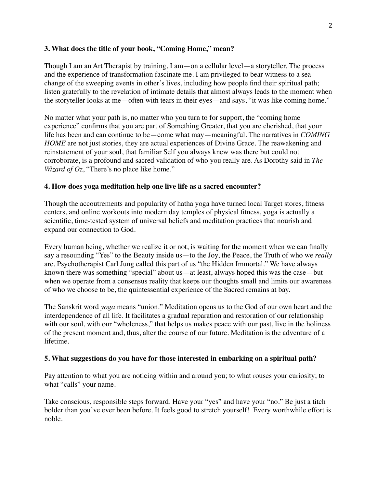### **3. What does the title of your book, "Coming Home," mean?**

Though I am an Art Therapist by training, I am—on a cellular level—a storyteller. The process and the experience of transformation fascinate me. I am privileged to bear witness to a sea change of the sweeping events in other's lives, including how people find their spiritual path; listen gratefully to the revelation of intimate details that almost always leads to the moment when the storyteller looks at me—often with tears in their eyes—and says, "it was like coming home."

No matter what your path is, no matter who you turn to for support, the "coming home experience" confirms that you are part of Something Greater, that you are cherished, that your life has been and can continue to be—come what may—meaningful. The narratives in *COMING HOME* are not just stories, they are actual experiences of Divine Grace. The reawakening and reinstatement of your soul, that familiar Self you always knew was there but could not corroborate, is a profound and sacred validation of who you really are. As Dorothy said in *The Wizard of Oz*, "There's no place like home."

# **4. How does yoga meditation help one live life as a sacred encounter?**

Though the accoutrements and popularity of hatha yoga have turned local Target stores, fitness centers, and online workouts into modern day temples of physical fitness, yoga is actually a scientific, time-tested system of universal beliefs and meditation practices that nourish and expand our connection to God.

Every human being, whether we realize it or not, is waiting for the moment when we can finally say a resounding "Yes" to the Beauty inside us—to the Joy, the Peace, the Truth of who we *really* are. Psychotherapist Carl Jung called this part of us "the Hidden Immortal." We have always known there was something "special" about us—at least, always hoped this was the case—but when we operate from a consensus reality that keeps our thoughts small and limits our awareness of who we choose to be, the quintessential experience of the Sacred remains at bay.

The Sanskrit word *yoga* means "union." Meditation opens us to the God of our own heart and the interdependence of all life. It facilitates a gradual reparation and restoration of our relationship with our soul, with our "wholeness," that helps us makes peace with our past, live in the holiness of the present moment and, thus, alter the course of our future. Meditation is the adventure of a lifetime.

#### **5. What suggestions do you have for those interested in embarking on a spiritual path?**

Pay attention to what you are noticing within and around you; to what rouses your curiosity; to what "calls" your name.

Take conscious, responsible steps forward. Have your "yes" and have your "no." Be just a titch bolder than you've ever been before. It feels good to stretch yourself! Every worthwhile effort is noble.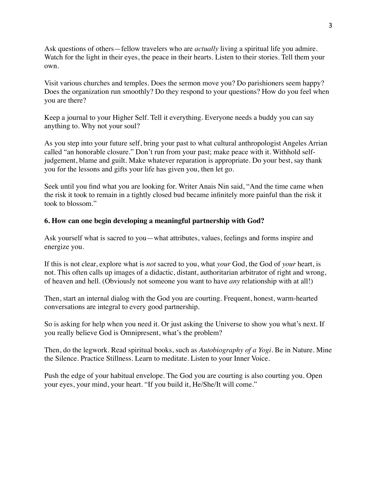Ask questions of others—fellow travelers who are *actually* living a spiritual life you admire. Watch for the light in their eyes, the peace in their hearts. Listen to their stories. Tell them your own.

Visit various churches and temples. Does the sermon move you? Do parishioners seem happy? Does the organization run smoothly? Do they respond to your questions? How do you feel when you are there?

Keep a journal to your Higher Self. Tell it everything. Everyone needs a buddy you can say anything to. Why not your soul?

As you step into your future self, bring your past to what cultural anthropologist Angeles Arrian called "an honorable closure." Don't run from your past; make peace with it. Withhold selfjudgement, blame and guilt. Make whatever reparation is appropriate. Do your best, say thank you for the lessons and gifts your life has given you, then let go.

Seek until you find what you are looking for. Writer Anais Nin said, "And the time came when the risk it took to remain in a tightly closed bud became infinitely more painful than the risk it took to blossom."

# **6. How can one begin developing a meaningful partnership with God?**

Ask yourself what is sacred to you—what attributes, values, feelings and forms inspire and energize you.

If this is not clear, explore what is *not* sacred to you, what *your* God, the God of *your* heart, is not. This often calls up images of a didactic, distant, authoritarian arbitrator of right and wrong, of heaven and hell. (Obviously not someone you want to have *any* relationship with at all!)

Then, start an internal dialog with the God you are courting. Frequent, honest, warm-hearted conversations are integral to every good partnership.

So is asking for help when you need it. Or just asking the Universe to show you what's next. If you really believe God is Omnipresent, what's the problem?

Then, do the legwork. Read spiritual books, such as *Autobiography of a Yogi*. Be in Nature. Mine the Silence. Practice Stillness. Learn to meditate. Listen to your Inner Voice.

Push the edge of your habitual envelope. The God you are courting is also courting you. Open your eyes, your mind, your heart. "If you build it, He/She/It will come."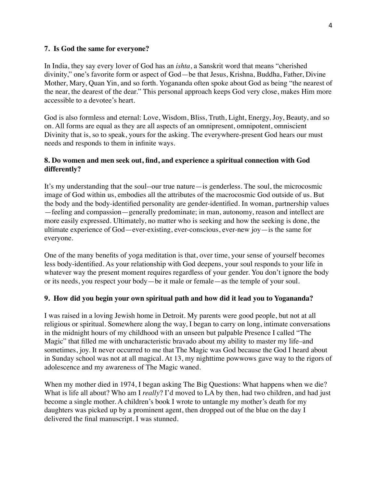#### **7. Is God the same for everyone?**

In India, they say every lover of God has an *ishta*, a Sanskrit word that means "cherished divinity," one's favorite form or aspect of God—be that Jesus, Krishna, Buddha, Father, Divine Mother, Mary, Quan Yin, and so forth. Yogananda often spoke about God as being "the nearest of the near, the dearest of the dear." This personal approach keeps God very close, makes Him more accessible to a devotee's heart.

God is also formless and eternal: Love, Wisdom, Bliss, Truth, Light, Energy, Joy, Beauty, and so on. All forms are equal as they are all aspects of an omnipresent, omnipotent, omniscient Divinity that is, so to speak, yours for the asking. The everywhere-present God hears our must needs and responds to them in infinite ways.

### **8. Do women and men seek out, find, and experience a spiritual connection with God differently?**

It's my understanding that the soul--our true nature—is genderless. The soul, the microcosmic image of God within us, embodies all the attributes of the macrocosmic God outside of us. But the body and the body-identified personality are gender-identified. In woman, partnership values —feeling and compassion—generally predominate; in man, autonomy, reason and intellect are more easily expressed. Ultimately, no matter who is seeking and how the seeking is done, the ultimate experience of God—ever-existing, ever-conscious, ever-new joy—is the same for everyone.

One of the many benefits of yoga meditation is that, over time, your sense of yourself becomes less body-identified. As your relationship with God deepens, your soul responds to your life in whatever way the present moment requires regardless of your gender. You don't ignore the body or its needs, you respect your body—be it male or female—as the temple of your soul.

#### **9. How did you begin your own spiritual path and how did it lead you to Yogananda?**

I was raised in a loving Jewish home in Detroit. My parents were good people, but not at all religious or spiritual. Somewhere along the way, I began to carry on long, intimate conversations in the midnight hours of my childhood with an unseen but palpable Presence I called "The Magic" that filled me with uncharacteristic bravado about my ability to master my life–and sometimes, joy. It never occurred to me that The Magic was God because the God I heard about in Sunday school was not at all magical. At 13, my nighttime powwows gave way to the rigors of adolescence and my awareness of The Magic waned.

When my mother died in 1974, I began asking The Big Questions: What happens when we die? What is life all about? Who am I *really*? I'd moved to LA by then, had two children, and had just become a single mother. A children's book I wrote to untangle my mother's death for my daughters was picked up by a prominent agent, then dropped out of the blue on the day I delivered the final manuscript. I was stunned.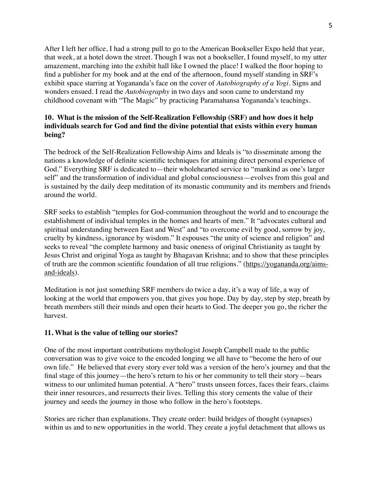After I left her office, I had a strong pull to go to the American Bookseller Expo held that year, that week, at a hotel down the street. Though I was not a bookseller, I found myself, to my utter amazement, marching into the exhibit hall like I owned the place! I walked the floor hoping to find a publisher for my book and at the end of the afternoon, found myself standing in SRF's exhibit space starring at Yogananda's face on the cover of *Autobiography of a Yogi*. Signs and wonders ensued. I read the *Autobiography* in two days and soon came to understand my childhood covenant with "The Magic" by practicing Paramahansa Yogananda's teachings.

# **10. What is the mission of the Self-Realization Fellowship (SRF) and how does it help individuals search for God and find the divine potential that exists within every human being?**

The bedrock of the Self-Realization Fellowship Aims and Ideals is "to disseminate among the nations a knowledge of definite scientific techniques for attaining direct personal experience of God." Everything SRF is dedicated to—their wholehearted service to "mankind as one's larger self" and the transformation of individual and global consciousness—evolves from this goal and is sustained by the daily deep meditation of its monastic community and its members and friends around the world.

SRF seeks to establish "temples for God-communion throughout the world and to encourage the establishment of individual temples in the homes and hearts of men." It "advocates cultural and spiritual understanding between East and West" and "to overcome evil by good, sorrow by joy, cruelty by kindness, ignorance by wisdom." It espouses "the unity of science and religion" and seeks to reveal "the complete harmony and basic oneness of original Christianity as taught by Jesus Christ and original Yoga as taught by Bhagavan Krishna; and to show that these principles of truth are the common scientific foundation of all true religions." [\(https://yogananda.org/aims](https://yogananda.org/aims-and-ideals)[and-ideals](https://yogananda.org/aims-and-ideals)).

Meditation is not just something SRF members do twice a day, it's a way of life, a way of looking at the world that empowers you, that gives you hope. Day by day, step by step, breath by breath members still their minds and open their hearts to God. The deeper you go, the richer the harvest.

#### **11. What is the value of telling our stories?**

One of the most important contributions mythologist Joseph Campbell made to the public conversation was to give voice to the encoded longing we all have to "become the hero of our own life." He believed that every story ever told was a version of the hero's journey and that the final stage of this journey—the hero's return to his or her community to tell their story—bears witness to our unlimited human potential. A "hero" trusts unseen forces, faces their fears, claims their inner resources, and resurrects their lives. Telling this story cements the value of their journey and seeds the journey in those who follow in the hero's footsteps.

Stories are richer than explanations. They create order: build bridges of thought (synapses) within us and to new opportunities in the world. They create a joyful detachment that allows us